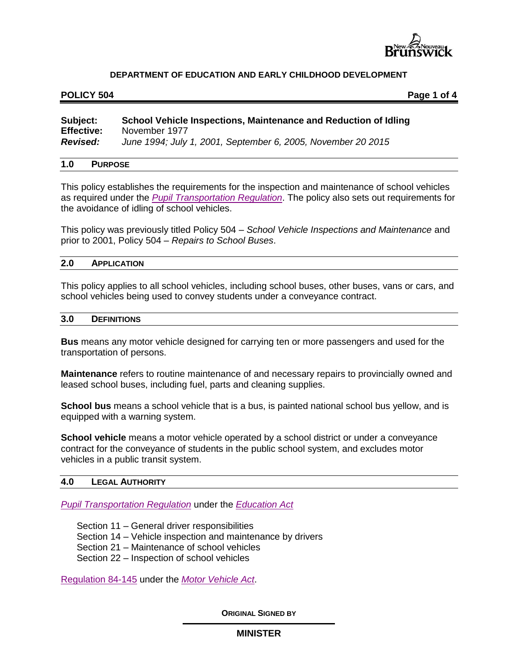

#### POLICY 504 **POLICY 504**

# **Subject: School Vehicle Inspections, Maintenance and Reduction of Idling Effective:** November 1977 *Revised: June 1994; July 1, 2001, September 6, 2005, November 20 2015*

### **1.0 PURPOSE**

This policy establishes the requirements for the inspection and maintenance of school vehicles as required under the *[Pupil Transportation Regulation](http://laws.gnb.ca/en/ShowPdf/cr/2001-51.pdf)*. The policy also sets out requirements for the avoidance of idling of school vehicles.

This policy was previously titled Policy 504 – *School Vehicle Inspections and Maintenance* and prior to 2001, Policy 504 – *Repairs to School Buses*.

## **2.0 APPLICATION**

This policy applies to all school vehicles, including school buses, other buses, vans or cars, and school vehicles being used to convey students under a conveyance contract.

#### **3.0 DEFINITIONS**

**Bus** means any motor vehicle designed for carrying ten or more passengers and used for the transportation of persons.

**Maintenance** refers to routine maintenance of and necessary repairs to provincially owned and leased school buses, including fuel, parts and cleaning supplies.

**School bus** means a school vehicle that is a bus, is painted national school bus yellow, and is equipped with a warning system.

**School vehicle** means a motor vehicle operated by a school district or under a conveyance contract for the conveyance of students in the public school system, and excludes motor vehicles in a public transit system.

#### **4.0 LEGAL AUTHORITY**

*[Pupil Transportation Regulation](http://laws.gnb.ca/en/ShowPdf/cr/2001-51.pdf)* under the *[Education Act](http://laws.gnb.ca/en/ShowPdf/cs/E-1.12.pdf)*

Section 11 – General driver responsibilities

Section 14 – Vehicle inspection and maintenance by drivers

Section 21 – Maintenance of school vehicles

Section 22 – Inspection of school vehicles

[Regulation 84-145](http://laws.gnb.ca/en/ShowPdf/cr/84-145.pdf) under the *[Motor Vehicle Act](http://laws.gnb.ca/en/ShowPdf/cs/M-17.pdf)*.

**ORIGINAL SIGNED BY**

## **MINISTER**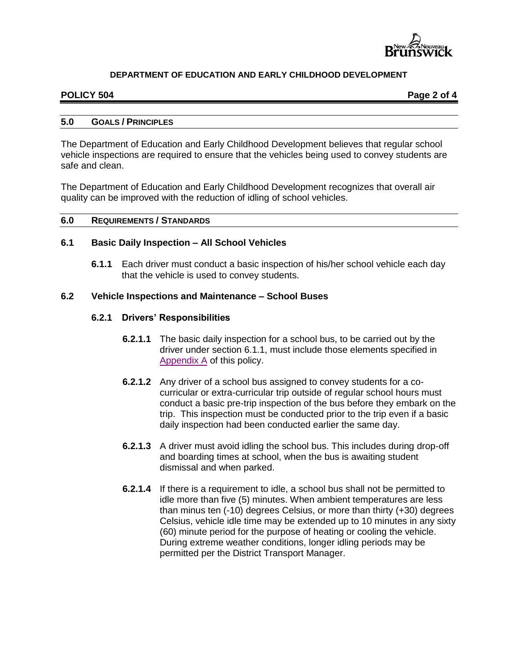

### **POLICY 504 POLICY 504**

### **5.0 GOALS / PRINCIPLES**

The Department of Education and Early Childhood Development believes that regular school vehicle inspections are required to ensure that the vehicles being used to convey students are safe and clean.

The Department of Education and Early Childhood Development recognizes that overall air quality can be improved with the reduction of idling of school vehicles.

#### **6.0 REQUIREMENTS / STANDARDS**

### **6.1 Basic Daily Inspection – All School Vehicles**

**6.1.1** Each driver must conduct a basic inspection of his/her school vehicle each day that the vehicle is used to convey students.

### **6.2 Vehicle Inspections and Maintenance – School Buses**

### **6.2.1 Drivers' Responsibilities**

- **6.2.1.1** The basic daily inspection for a school bus, to be carried out by the driver under section 6.1.1, must include those elements specified in [Appendix A](504AA.pdf) of this policy.
- **6.2.1.2** Any driver of a school bus assigned to convey students for a cocurricular or extra-curricular trip outside of regular school hours must conduct a basic pre-trip inspection of the bus before they embark on the trip. This inspection must be conducted prior to the trip even if a basic daily inspection had been conducted earlier the same day.
- **6.2.1.3** A driver must avoid idling the school bus. This includes during drop-off and boarding times at school, when the bus is awaiting student dismissal and when parked.
- **6.2.1.4** If there is a requirement to idle, a school bus shall not be permitted to idle more than five (5) minutes. When ambient temperatures are less than minus ten (-10) degrees Celsius, or more than thirty (+30) degrees Celsius, vehicle idle time may be extended up to 10 minutes in any sixty (60) minute period for the purpose of heating or cooling the vehicle. During extreme weather conditions, longer idling periods may be permitted per the District Transport Manager.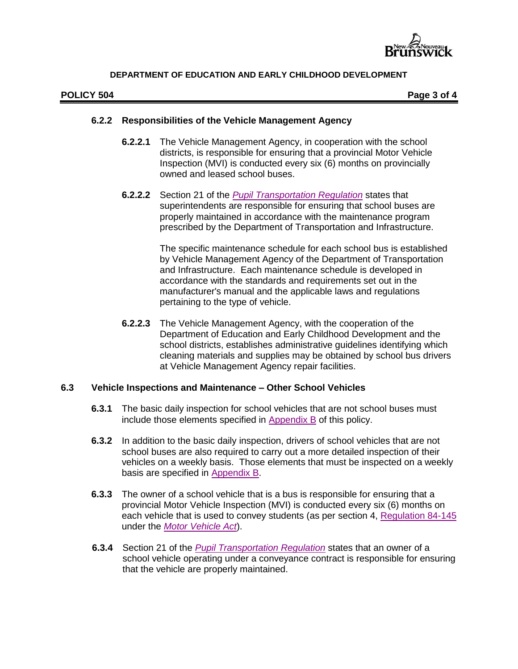

### **POLICY 504 POLICY 504**

## **6.2.2 Responsibilities of the Vehicle Management Agency**

- **6.2.2.1** The Vehicle Management Agency, in cooperation with the school districts, is responsible for ensuring that a provincial Motor Vehicle Inspection (MVI) is conducted every six (6) months on provincially owned and leased school buses.
- **6.2.2.2** Section 21 of the *[Pupil Transportation Regulation](http://laws.gnb.ca/en/ShowPdf/cr/2001-51.pdf)* states that superintendents are responsible for ensuring that school buses are properly maintained in accordance with the maintenance program prescribed by the Department of Transportation and Infrastructure.

The specific maintenance schedule for each school bus is established by Vehicle Management Agency of the Department of Transportation and Infrastructure. Each maintenance schedule is developed in accordance with the standards and requirements set out in the manufacturer's manual and the applicable laws and regulations pertaining to the type of vehicle.

**6.2.2.3** The Vehicle Management Agency, with the cooperation of the Department of Education and Early Childhood Development and the school districts, establishes administrative guidelines identifying which cleaning materials and supplies may be obtained by school bus drivers at Vehicle Management Agency repair facilities.

## **6.3 Vehicle Inspections and Maintenance – Other School Vehicles**

- **6.3.1** The basic daily inspection for school vehicles that are not school buses must include those elements specified in [Appendix B](http://www2.gnb.ca/content/dam/gnb/Departments/ed/pdf/K12/policies-politiques/e/504AB.pdf) of this policy.
- **6.3.2** In addition to the basic daily inspection, drivers of school vehicles that are not school buses are also required to carry out a more detailed inspection of their vehicles on a weekly basis. Those elements that must be inspected on a weekly basis are specified in [Appendix B.](http://www2.gnb.ca/content/dam/gnb/Departments/ed/pdf/K12/policies-politiques/e/504AB.pdf)
- **6.3.3** The owner of a school vehicle that is a bus is responsible for ensuring that a provincial Motor Vehicle Inspection (MVI) is conducted every six (6) months on each vehicle that is used to convey students (as per section 4, [Regulation 84-145](http://laws.gnb.ca/en/ShowPdf/cr/84-145.pdf) under the *[Motor Vehicle Act](http://laws.gnb.ca/en/ShowPdf/cs/M-17.pdf)*).
- **6.3.4** Section 21 of the *[Pupil Transportation Regulation](http://laws.gnb.ca/en/ShowPdf/cr/2001-51.pdf)* states that an owner of a school vehicle operating under a conveyance contract is responsible for ensuring that the vehicle are properly maintained.